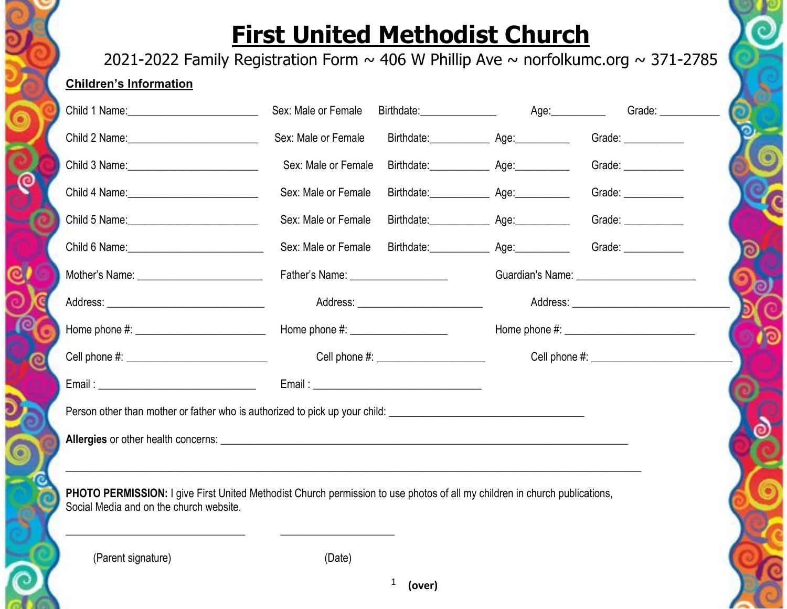## **First United Methodist Church**

2021-2022 Family Registration Form  $\sim$  406 W Phillip Ave  $\sim$  norfolkumc.org  $\sim$  371-2785

## **Children's Information**

| Child 1 Name: 2008 - 2008 - 2010 - 2010 - 2010 - 2010 - 2010 - 2010 - 2010 - 2010 - 2010 - 2010 - 2010 - 2010                                                         | Sex: Male or Female | Birthdate: Age: Age:                         |  | Grade: $\sqrt{\frac{2}{1-\frac{1}{2}}$ |
|-----------------------------------------------------------------------------------------------------------------------------------------------------------------------|---------------------|----------------------------------------------|--|----------------------------------------|
|                                                                                                                                                                       | Sex: Male or Female |                                              |  | Grade: ___________                     |
| Child 3 Name: 2008                                                                                                                                                    | Sex: Male or Female | Birthdate: ________________ Age: ___________ |  | Grade: $\_\_$                          |
| Child 4 Name: 2008                                                                                                                                                    | Sex: Male or Female |                                              |  | Grade: $\_\_$                          |
| Child 5 Name: 2008                                                                                                                                                    | Sex: Male or Female |                                              |  | Grade: $\_\_$                          |
|                                                                                                                                                                       | Sex: Male or Female | Birthdate: Age: Age:                         |  | Grade: ____________                    |
|                                                                                                                                                                       |                     |                                              |  |                                        |
|                                                                                                                                                                       |                     | Address: __________________________          |  |                                        |
|                                                                                                                                                                       |                     |                                              |  |                                        |
|                                                                                                                                                                       |                     | Cell phone #: ______________________         |  |                                        |
|                                                                                                                                                                       |                     |                                              |  |                                        |
| Person other than mother or father who is authorized to pick up your child:                                                                                           |                     |                                              |  |                                        |
|                                                                                                                                                                       |                     |                                              |  |                                        |
|                                                                                                                                                                       |                     |                                              |  |                                        |
| PHOTO PERMISSION: I give First United Methodist Church permission to use photos of all my children in church publications,<br>Social Media and on the church website. |                     |                                              |  |                                        |
|                                                                                                                                                                       |                     |                                              |  |                                        |
|                                                                                                                                                                       |                     |                                              |  |                                        |

(Parent signature) (Date)